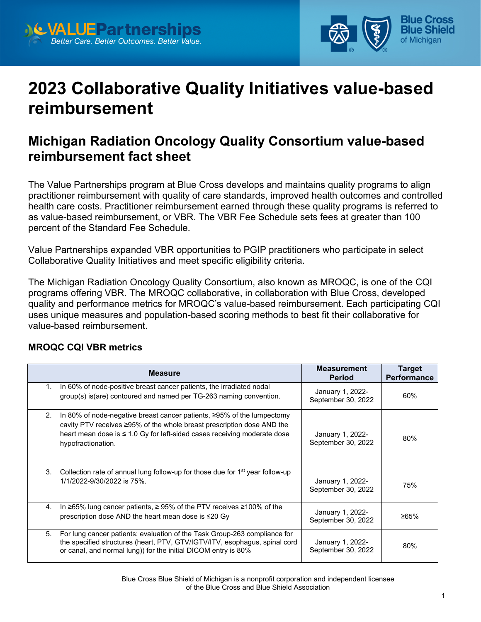



# **2023 Collaborative Quality Initiatives value-based reimbursement**

# **Michigan Radiation Oncology Quality Consortium value-based reimbursement fact sheet**

The Value Partnerships program at Blue Cross develops and maintains quality programs to align practitioner reimbursement with quality of care standards, improved health outcomes and controlled health care costs. Practitioner reimbursement earned through these quality programs is referred to as value-based reimbursement, or VBR. The VBR Fee Schedule sets fees at greater than 100 percent of the Standard Fee Schedule.

Value Partnerships expanded VBR opportunities to PGIP practitioners who participate in select Collaborative Quality Initiatives and meet specific eligibility criteria.

The Michigan Radiation Oncology Quality Consortium, also known as MROQC, is one of the CQI programs offering VBR. The MROQC collaborative, in collaboration with Blue Cross, developed quality and performance metrics for MROQC's value-based reimbursement. Each participating CQI uses unique measures and population-based scoring methods to best fit their collaborative for value-based reimbursement.

#### **MROQC CQI VBR metrics**

|    | <b>Measure</b>                                                                                                                                                                                                                                                | <b>Measurement</b><br><b>Period</b>    | <b>Target</b><br><b>Performance</b> |
|----|---------------------------------------------------------------------------------------------------------------------------------------------------------------------------------------------------------------------------------------------------------------|----------------------------------------|-------------------------------------|
| 1. | In 60% of node-positive breast cancer patients, the irradiated nodal<br>group(s) is (are) contoured and named per TG-263 naming convention.                                                                                                                   | January 1, 2022-<br>September 30, 2022 | 60%                                 |
| 2. | In 80% of node-negative breast cancer patients, $\geq$ 95% of the lumpectomy<br>cavity PTV receives ≥95% of the whole breast prescription dose AND the<br>heart mean dose is $\leq 1.0$ Gy for left-sided cases receiving moderate dose<br>hypofractionation. | January 1, 2022-<br>September 30, 2022 | 80%                                 |
| 3. | Collection rate of annual lung follow-up for those due for 1 <sup>st</sup> year follow-up<br>1/1/2022-9/30/2022 is 75%.                                                                                                                                       | January 1, 2022-<br>September 30, 2022 | 75%                                 |
| 4. | In $\geq$ 65% lung cancer patients, $\geq$ 95% of the PTV receives $\geq$ 100% of the<br>prescription dose AND the heart mean dose is ≤20 Gy                                                                                                                  | January 1, 2022-<br>September 30, 2022 | ≥65%                                |
| 5. | For lung cancer patients: evaluation of the Task Group-263 compliance for<br>the specified structures (heart, PTV, GTV/IGTV/ITV, esophagus, spinal cord<br>or canal, and normal lung)) for the initial DICOM entry is 80%                                     | January 1, 2022-<br>September 30, 2022 | 80%                                 |

Blue Cross Blue Shield of Michigan is a nonprofit corporation and independent licensee of the Blue Cross and Blue Shield Association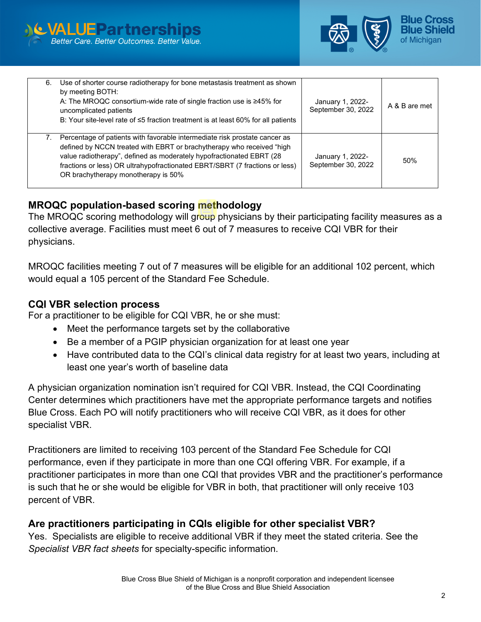



| 6. Use of shorter course radiotherapy for bone metastasis treatment as shown<br>by meeting BOTH:<br>A: The MROQC consortium-wide rate of single fraction use is $\geq 45\%$ for<br>uncomplicated patients<br>B: Your site-level rate of $\leq$ 5 fraction treatment is at least 60% for all patients                                                 | January 1, 2022-<br>September 30, 2022 | A & B are met |
|------------------------------------------------------------------------------------------------------------------------------------------------------------------------------------------------------------------------------------------------------------------------------------------------------------------------------------------------------|----------------------------------------|---------------|
| 7. Percentage of patients with favorable intermediate risk prostate cancer as<br>defined by NCCN treated with EBRT or brachytherapy who received "high<br>value radiotherapy", defined as moderately hypofractionated EBRT (28<br>fractions or less) OR ultrahypofractionated EBRT/SBRT (7 fractions or less)<br>OR brachytherapy monotherapy is 50% | January 1, 2022-<br>September 30, 2022 | 50%           |

## **MROQC population-based scoring methodology**

The MROQC scoring methodology will group physicians by their participating facility measures as a collective average. Facilities must meet 6 out of 7 measures to receive CQI VBR for their physicians.

MROQC facilities meeting 7 out of 7 measures will be eligible for an additional 102 percent, which would equal a 105 percent of the Standard Fee Schedule.

#### **CQI VBR selection process**

For a practitioner to be eligible for CQI VBR, he or she must:

- Meet the performance targets set by the collaborative
- Be a member of a PGIP physician organization for at least one year
- Have contributed data to the CQI's clinical data registry for at least two years, including at least one year's worth of baseline data

A physician organization nomination isn't required for CQI VBR. Instead, the CQI Coordinating Center determines which practitioners have met the appropriate performance targets and notifies Blue Cross. Each PO will notify practitioners who will receive CQI VBR, as it does for other specialist VBR.

Practitioners are limited to receiving 103 percent of the Standard Fee Schedule for CQI performance, even if they participate in more than one CQI offering VBR. For example, if a practitioner participates in more than one CQI that provides VBR and the practitioner's performance is such that he or she would be eligible for VBR in both, that practitioner will only receive 103 percent of VBR.

# **Are practitioners participating in CQIs eligible for other specialist VBR?**

Yes. Specialists are eligible to receive additional VBR if they meet the stated criteria. See the *Specialist VBR fact sheets* for specialty-specific information.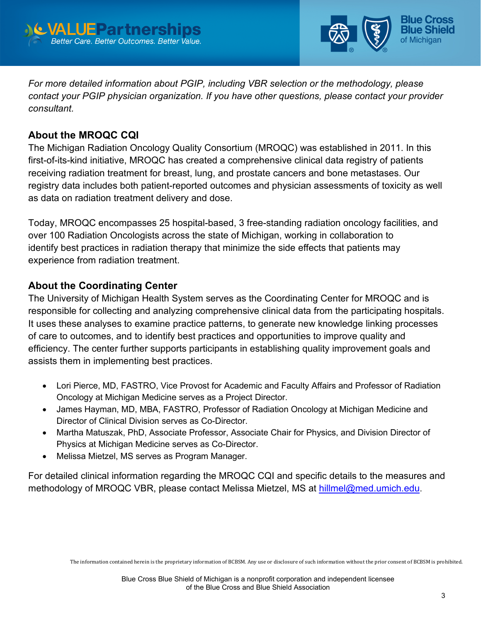



*For more detailed information about PGIP, including VBR selection or the methodology, please contact your PGIP physician organization. If you have other questions, please contact your provider consultant.*

# **About the MROQC CQI**

The Michigan Radiation Oncology Quality Consortium (MROQC) was established in 2011. In this first-of-its-kind initiative, MROQC has created a comprehensive clinical data registry of patients receiving radiation treatment for breast, lung, and prostate cancers and bone metastases. Our registry data includes both patient-reported outcomes and physician assessments of toxicity as well as data on radiation treatment delivery and dose.

Today, MROQC encompasses 25 hospital-based, 3 free-standing radiation oncology facilities, and over 100 Radiation Oncologists across the state of Michigan, working in collaboration to identify best practices in radiation therapy that minimize the side effects that patients may experience from radiation treatment.

#### **About the Coordinating Center**

The University of Michigan Health System serves as the Coordinating Center for MROQC and is responsible for collecting and analyzing comprehensive clinical data from the participating hospitals. It uses these analyses to examine practice patterns, to generate new knowledge linking processes of care to outcomes, and to identify best practices and opportunities to improve quality and efficiency. The center further supports participants in establishing quality improvement goals and assists them in implementing best practices.

- Lori Pierce, MD, FASTRO, Vice Provost for Academic and Faculty Affairs and Professor of Radiation Oncology at Michigan Medicine serves as a Project Director.
- James Hayman, MD, MBA, FASTRO, Professor of Radiation Oncology at Michigan Medicine and Director of Clinical Division serves as Co-Director.
- Martha Matuszak, PhD, Associate Professor, Associate Chair for Physics, and Division Director of Physics at Michigan Medicine serves as Co-Director.
- Melissa Mietzel, MS serves as Program Manager.

For detailed clinical information regarding the MROQC CQI and specific details to the measures and methodology of MROQC VBR, please contact Melissa Mietzel, MS at [hillmel@med.umich.edu.](mailto:hillmel@med.umich.edu)

The information contained herein is the proprietary information of BCBSM. Any use or disclosure of such information without the prior consent of BCBSM is prohibited.